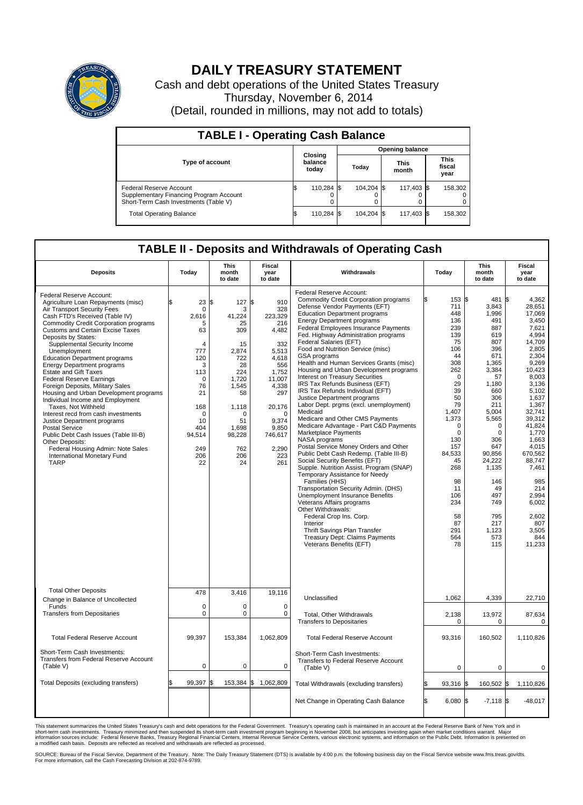

## **DAILY TREASURY STATEMENT**

Cash and debt operations of the United States Treasury Thursday, November 6, 2014 (Detail, rounded in millions, may not add to totals)

| <b>TABLE I - Operating Cash Balance</b>                                                                     |                             |            |                        |            |                      |            |                               |         |  |  |
|-------------------------------------------------------------------------------------------------------------|-----------------------------|------------|------------------------|------------|----------------------|------------|-------------------------------|---------|--|--|
|                                                                                                             |                             |            | <b>Opening balance</b> |            |                      |            |                               |         |  |  |
| Type of account                                                                                             | Closing<br>balance<br>today |            | Today                  |            | <b>This</b><br>month |            | <b>This</b><br>fiscal<br>year |         |  |  |
| Federal Reserve Account<br>Supplementary Financing Program Account<br>Short-Term Cash Investments (Table V) |                             | 110,284 \$ |                        | 104.204 \$ |                      | 117,403 \$ |                               | 158,302 |  |  |
| <b>Total Operating Balance</b>                                                                              |                             | 110,284 \$ |                        | 104,204 \$ |                      | 117,403 \$ |                               | 158,302 |  |  |

## **TABLE II - Deposits and Withdrawals of Operating Cash**

| <b>Deposits</b>                                                                                                                                                                                                                                                                                                                                                                                                                                                                                                                                                                                                                                                                                                                                                                                                                   | Today                                                                                                                                                        | <b>This</b><br>month<br>to date                                                                                                                             | <b>Fiscal</b><br>year<br>to date                                                                                                                                                            | Withdrawals                                                                                                                                                                                                                                                                                                                                                                                                                                                                                                                                                                                                                                                                                                                                                                                                                                                                                                                                                                                                                                                                                                                                                                                                                                                  | Today                                                                                                                                                                                                                                                          | <b>This</b><br>month<br>to date                                                                                                                                                                                                                                        | Fiscal<br>year<br>to date                                                                                                                                                                                                                                                                                                |
|-----------------------------------------------------------------------------------------------------------------------------------------------------------------------------------------------------------------------------------------------------------------------------------------------------------------------------------------------------------------------------------------------------------------------------------------------------------------------------------------------------------------------------------------------------------------------------------------------------------------------------------------------------------------------------------------------------------------------------------------------------------------------------------------------------------------------------------|--------------------------------------------------------------------------------------------------------------------------------------------------------------|-------------------------------------------------------------------------------------------------------------------------------------------------------------|---------------------------------------------------------------------------------------------------------------------------------------------------------------------------------------------|--------------------------------------------------------------------------------------------------------------------------------------------------------------------------------------------------------------------------------------------------------------------------------------------------------------------------------------------------------------------------------------------------------------------------------------------------------------------------------------------------------------------------------------------------------------------------------------------------------------------------------------------------------------------------------------------------------------------------------------------------------------------------------------------------------------------------------------------------------------------------------------------------------------------------------------------------------------------------------------------------------------------------------------------------------------------------------------------------------------------------------------------------------------------------------------------------------------------------------------------------------------|----------------------------------------------------------------------------------------------------------------------------------------------------------------------------------------------------------------------------------------------------------------|------------------------------------------------------------------------------------------------------------------------------------------------------------------------------------------------------------------------------------------------------------------------|--------------------------------------------------------------------------------------------------------------------------------------------------------------------------------------------------------------------------------------------------------------------------------------------------------------------------|
| Federal Reserve Account:<br>Agriculture Loan Repayments (misc)<br>Air Transport Security Fees<br>Cash FTD's Received (Table IV)<br><b>Commodity Credit Corporation programs</b><br><b>Customs and Certain Excise Taxes</b><br>Deposits by States:<br>Supplemental Security Income<br>Unemployment<br><b>Education Department programs</b><br><b>Energy Department programs</b><br><b>Estate and Gift Taxes</b><br><b>Federal Reserve Earnings</b><br>Foreign Deposits, Military Sales<br>Housing and Urban Development programs<br>Individual Income and Employment<br>Taxes. Not Withheld<br>Interest recd from cash investments<br>Justice Department programs<br>Postal Service<br>Public Debt Cash Issues (Table III-B)<br>Other Deposits:<br>Federal Housing Admin: Note Sales<br>International Monetary Fund<br><b>TARP</b> | \$<br>23<br>$\mathbf 0$<br>2.616<br>5<br>63<br>4<br>777<br>120<br>3<br>113<br>$\mathbf 0$<br>76<br>21<br>168<br>0<br>10<br>404<br>94,514<br>249<br>206<br>22 | \$<br>127<br>3<br>41.224<br>25<br>309<br>15<br>2,874<br>722<br>28<br>224<br>1,720<br>1,545<br>58<br>1,118<br>O<br>51<br>1,698<br>98,228<br>762<br>206<br>24 | \$<br>910<br>328<br>223.329<br>216<br>4,482<br>332<br>5,513<br>4,618<br>556<br>1,752<br>11,007<br>4,338<br>297<br>20,176<br>$\mathbf 0$<br>9.374<br>9,850<br>746,617<br>2,290<br>223<br>261 | Federal Reserve Account:<br><b>Commodity Credit Corporation programs</b><br>Defense Vendor Payments (EFT)<br><b>Education Department programs</b><br><b>Energy Department programs</b><br>Federal Employees Insurance Payments<br>Fed. Highway Administration programs<br>Federal Salaries (EFT)<br>Food and Nutrition Service (misc)<br>GSA programs<br>Health and Human Services Grants (misc)<br>Housing and Urban Development programs<br><b>Interest on Treasury Securities</b><br>IRS Tax Refunds Business (EFT)<br>IRS Tax Refunds Individual (EFT)<br>Justice Department programs<br>Labor Dept. prgms (excl. unemployment)<br>Medicaid<br>Medicare and Other CMS Payments<br>Medicare Advantage - Part C&D Payments<br>Marketplace Payments<br>NASA programs<br>Postal Service Money Orders and Other<br>Public Debt Cash Redemp. (Table III-B)<br>Social Security Benefits (EFT)<br>Supple. Nutrition Assist. Program (SNAP)<br>Temporary Assistance for Needy<br>Families (HHS)<br>Transportation Security Admin. (DHS)<br>Unemployment Insurance Benefits<br>Veterans Affairs programs<br>Other Withdrawals:<br>Federal Crop Ins. Corp.<br>Interior<br>Thrift Savings Plan Transfer<br>Treasury Dept: Claims Payments<br>Veterans Benefits (EFT) | 153S<br>711<br>448<br>136<br>239<br>139<br>75<br>106<br>44<br>308<br>262<br>$\mathbf 0$<br>29<br>39<br>50<br>79<br>1.407<br>1,373<br>$\mathbf 0$<br>$\mathbf 0$<br>130<br>157<br>84,533<br>45<br>268<br>98<br>11<br>106<br>234<br>58<br>87<br>291<br>564<br>78 | 481<br>3,843<br>1,996<br>491<br>887<br>619<br>807<br>396<br>671<br>1,365<br>3,384<br>57<br>1,180<br>660<br>306<br>211<br>5.004<br>5,565<br>0<br>$\mathbf 0$<br>306<br>647<br>90.856<br>24,222<br>1,135<br>146<br>49<br>497<br>749<br>795<br>217<br>1,123<br>573<br>115 | l\$<br>4.362<br>28,651<br>17,069<br>3,450<br>7,621<br>4,994<br>14,709<br>2.805<br>2,304<br>9.269<br>10.423<br>8,003<br>3,136<br>5.102<br>1,637<br>1,367<br>32.741<br>39,312<br>41,824<br>1,770<br>1.663<br>4,015<br>670.562<br>88.747<br>7,461<br>985<br>214<br>2,994<br>6,002<br>2,602<br>807<br>3,505<br>844<br>11,233 |
| <b>Total Other Deposits</b><br>Change in Balance of Uncollected                                                                                                                                                                                                                                                                                                                                                                                                                                                                                                                                                                                                                                                                                                                                                                   | 478                                                                                                                                                          | 3,416                                                                                                                                                       | 19,116                                                                                                                                                                                      | Unclassified                                                                                                                                                                                                                                                                                                                                                                                                                                                                                                                                                                                                                                                                                                                                                                                                                                                                                                                                                                                                                                                                                                                                                                                                                                                 | 1,062                                                                                                                                                                                                                                                          | 4,339                                                                                                                                                                                                                                                                  | 22,710                                                                                                                                                                                                                                                                                                                   |
| Funds<br><b>Transfers from Depositaries</b>                                                                                                                                                                                                                                                                                                                                                                                                                                                                                                                                                                                                                                                                                                                                                                                       | $\mathbf 0$<br>$\mathbf 0$                                                                                                                                   | 0<br>0                                                                                                                                                      | 0<br>0                                                                                                                                                                                      | Total, Other Withdrawals<br><b>Transfers to Depositaries</b>                                                                                                                                                                                                                                                                                                                                                                                                                                                                                                                                                                                                                                                                                                                                                                                                                                                                                                                                                                                                                                                                                                                                                                                                 | 2,138<br>$\mathbf 0$                                                                                                                                                                                                                                           | 13,972<br>$\mathbf 0$                                                                                                                                                                                                                                                  | 87,634<br>$\mathbf 0$                                                                                                                                                                                                                                                                                                    |
| <b>Total Federal Reserve Account</b>                                                                                                                                                                                                                                                                                                                                                                                                                                                                                                                                                                                                                                                                                                                                                                                              | 99.397                                                                                                                                                       | 153,384                                                                                                                                                     | 1,062,809                                                                                                                                                                                   | <b>Total Federal Reserve Account</b>                                                                                                                                                                                                                                                                                                                                                                                                                                                                                                                                                                                                                                                                                                                                                                                                                                                                                                                                                                                                                                                                                                                                                                                                                         | 93.316                                                                                                                                                                                                                                                         | 160,502                                                                                                                                                                                                                                                                | 1.110.826                                                                                                                                                                                                                                                                                                                |
| Short-Term Cash Investments:<br><b>Transfers from Federal Reserve Account</b><br>(Table V)                                                                                                                                                                                                                                                                                                                                                                                                                                                                                                                                                                                                                                                                                                                                        | $\pmb{0}$                                                                                                                                                    | 0                                                                                                                                                           | 0                                                                                                                                                                                           | Short-Term Cash Investments:<br>Transfers to Federal Reserve Account<br>(Table V)                                                                                                                                                                                                                                                                                                                                                                                                                                                                                                                                                                                                                                                                                                                                                                                                                                                                                                                                                                                                                                                                                                                                                                            | 0                                                                                                                                                                                                                                                              | $\mathbf 0$                                                                                                                                                                                                                                                            | 0                                                                                                                                                                                                                                                                                                                        |
| Total Deposits (excluding transfers)                                                                                                                                                                                                                                                                                                                                                                                                                                                                                                                                                                                                                                                                                                                                                                                              | 99,397                                                                                                                                                       | \$                                                                                                                                                          | 153,384 \$ 1,062,809                                                                                                                                                                        | Total Withdrawals (excluding transfers)                                                                                                                                                                                                                                                                                                                                                                                                                                                                                                                                                                                                                                                                                                                                                                                                                                                                                                                                                                                                                                                                                                                                                                                                                      | $93,316$ \$                                                                                                                                                                                                                                                    | 160,502 \$                                                                                                                                                                                                                                                             | 1,110,826                                                                                                                                                                                                                                                                                                                |
|                                                                                                                                                                                                                                                                                                                                                                                                                                                                                                                                                                                                                                                                                                                                                                                                                                   |                                                                                                                                                              |                                                                                                                                                             |                                                                                                                                                                                             | Net Change in Operating Cash Balance                                                                                                                                                                                                                                                                                                                                                                                                                                                                                                                                                                                                                                                                                                                                                                                                                                                                                                                                                                                                                                                                                                                                                                                                                         | l\$<br>$6,080$ \$                                                                                                                                                                                                                                              | $-7,118$ \$                                                                                                                                                                                                                                                            | $-48,017$                                                                                                                                                                                                                                                                                                                |

This statement summarizes the United States Treasury's cash and debt operations for the Federal Government. Treasury's operating cash is maintained in an account at the Federal Reserve Bank of New York and in<br>short-term ca

SOURCE: Bureau of the Fiscal Service, Department of the Treasury. Note: The Daily Treasury Statement (DTS) is available by 4:00 p.m. the following business day on the Fiscal Service website www.fms.treas.gov/dts.<br>For more